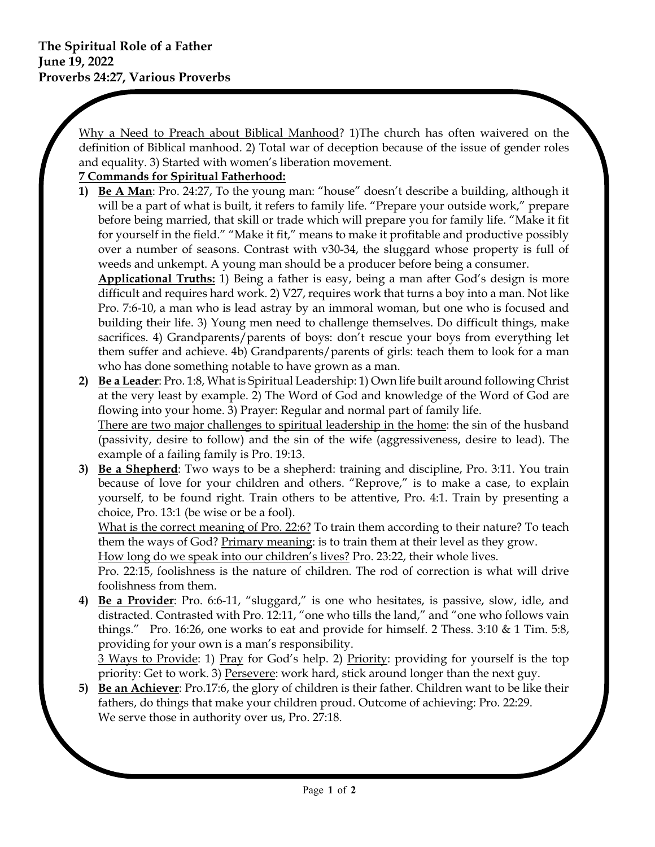Why a Need to Preach about Biblical Manhood? 1)The church has often waivered on the definition of Biblical manhood. 2) Total war of deception because of the issue of gender roles and equality. 3) Started with women's liberation movement.

## **7 Commands for Spiritual Fatherhood:**

**1) Be A Man**: Pro. 24:27, To the young man: "house" doesn't describe a building, although it will be a part of what is built, it refers to family life. "Prepare your outside work," prepare before being married, that skill or trade which will prepare you for family life. "Make it fit for yourself in the field." "Make it fit," means to make it profitable and productive possibly over a number of seasons. Contrast with v30-34, the sluggard whose property is full of weeds and unkempt. A young man should be a producer before being a consumer.

**Applicational Truths:** 1) Being a father is easy, being a man after God's design is more difficult and requires hard work. 2) V27, requires work that turns a boy into a man. Not like Pro. 7:6-10, a man who is lead astray by an immoral woman, but one who is focused and building their life. 3) Young men need to challenge themselves. Do difficult things, make sacrifices. 4) Grandparents/parents of boys: don't rescue your boys from everything let them suffer and achieve. 4b) Grandparents/parents of girls: teach them to look for a man who has done something notable to have grown as a man.

- **2) Be a Leader**: Pro. 1:8, What is Spiritual Leadership: 1) Own life built around following Christ at the very least by example. 2) The Word of God and knowledge of the Word of God are flowing into your home. 3) Prayer: Regular and normal part of family life. There are two major challenges to spiritual leadership in the home: the sin of the husband (passivity, desire to follow) and the sin of the wife (aggressiveness, desire to lead). The example of a failing family is Pro. 19:13.
- **3) Be a Shepherd**: Two ways to be a shepherd: training and discipline, Pro. 3:11. You train because of love for your children and others. "Reprove," is to make a case, to explain yourself, to be found right. Train others to be attentive, Pro. 4:1. Train by presenting a choice, Pro. 13:1 (be wise or be a fool).

What is the correct meaning of Pro. 22:6? To train them according to their nature? To teach them the ways of God? Primary meaning: is to train them at their level as they grow.

How long do we speak into our children's lives? Pro. 23:22, their whole lives.

Pro. 22:15, foolishness is the nature of children. The rod of correction is what will drive foolishness from them.

**4) Be a Provider**: Pro. 6:6-11, "sluggard," is one who hesitates, is passive, slow, idle, and distracted. Contrasted with Pro. 12:11, "one who tills the land," and "one who follows vain things." Pro. 16:26, one works to eat and provide for himself. 2 Thess. 3:10 & 1 Tim. 5:8, providing for your own is a man's responsibility.

3 Ways to Provide: 1) Pray for God's help. 2) Priority: providing for yourself is the top priority: Get to work. 3) Persevere: work hard, stick around longer than the next guy.

**5) Be an Achiever**: Pro.17:6, the glory of children is their father. Children want to be like their fathers, do things that make your children proud. Outcome of achieving: Pro. 22:29. We serve those in authority over us, Pro. 27:18.